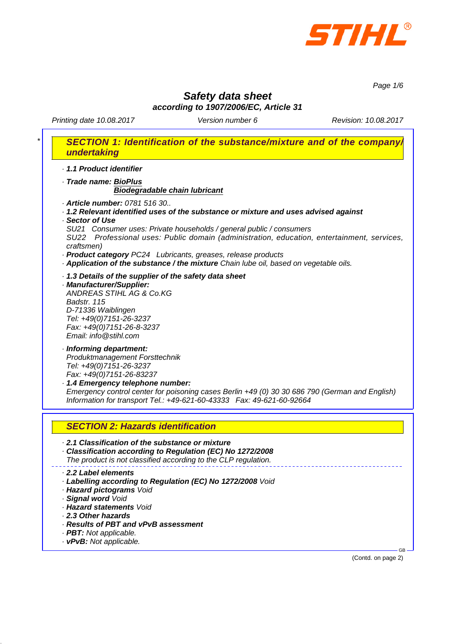

*Page 1/6*

## *Safety data sheet according to 1907/2006/EC, Article 31*

Printing date 10.08.2017 **Version number 6** Revision: 10.08.2017

| undertaking                                                   | SECTION 1: Identification of the substance/mixture and of the company/                                                                                                                                                                                                                                                                                                                                                                              |
|---------------------------------------------------------------|-----------------------------------------------------------------------------------------------------------------------------------------------------------------------------------------------------------------------------------------------------------------------------------------------------------------------------------------------------------------------------------------------------------------------------------------------------|
|                                                               | 1.1 Product identifier                                                                                                                                                                                                                                                                                                                                                                                                                              |
|                                                               | · Trade name: BioPlus<br><b>Biodegradable chain lubricant</b>                                                                                                                                                                                                                                                                                                                                                                                       |
| Sector of Use<br>craftsmen)                                   | · Article number: 0781 516 30<br>· 1.2 Relevant identified uses of the substance or mixture and uses advised against<br>SU21 Consumer uses: Private households / general public / consumers<br>SU22 Professional uses: Public domain (administration, education, entertainment, services,<br>· Product category PC24 Lubricants, greases, release products<br>· Application of the substance / the mixture Chain lube oil, based on vegetable oils. |
| Badstr. 115                                                   | . 1.3 Details of the supplier of the safety data sheet<br>· Manufacturer/Supplier:<br>ANDREAS STIHL AG & Co.KG<br>D-71336 Waiblingen<br>Tel: +49(0)7151-26-3237<br>Fax: +49(0)7151-26-8-3237<br>Email: info@stihl.com                                                                                                                                                                                                                               |
|                                                               | · Informing department:<br>Produktmanagement Forsttechnik<br>Tel: +49(0)7151-26-3237<br>Fax: +49(0)7151-26-83237<br>1.4 Emergency telephone number:<br>Emergency control center for poisoning cases Berlin +49 (0) 30 30 686 790 (German and English)<br>Information for transport Tel.: +49-621-60-43333  Fax: 49-621-60-92664                                                                                                                     |
|                                                               | <b>SECTION 2: Hazards identification</b>                                                                                                                                                                                                                                                                                                                                                                                                            |
|                                                               | 2.1 Classification of the substance or mixture<br>· Classification according to Regulation (EC) No 1272/2008<br>The product is not classified according to the CLP regulation.                                                                                                                                                                                                                                                                      |
| 2.2 Label elements<br>· Signal word Void<br>2.3 Other hazards | · Labelling according to Regulation (EC) No 1272/2008 Void<br>· Hazard pictograms Void<br>· Hazard statements Void<br>Results of PBT and vPvB assessment<br>· PBT: Not applicable.                                                                                                                                                                                                                                                                  |

*· vPvB: Not applicable.*

(Contd. on page 2)

GB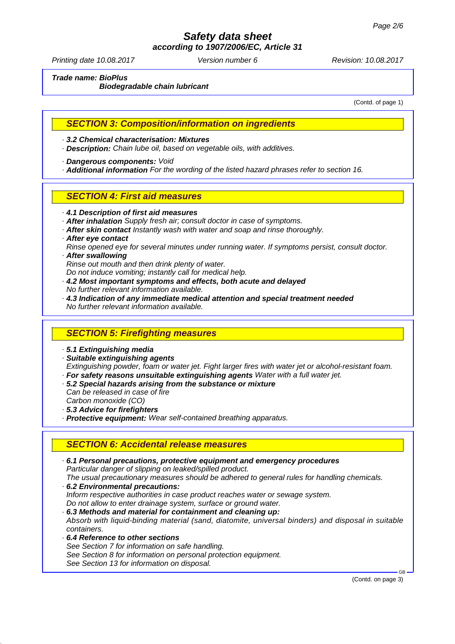*according to 1907/2006/EC, Article 31*

Printing date 10.08.2017 **Version number 6** Revision: 10.08.2017

*Trade name: BioPlus*

*Biodegradable chain lubricant*

(Contd. of page 1)

#### *SECTION 3: Composition/information on ingredients*

*· 3.2 Chemical characterisation: Mixtures*

- *· Description: Chain lube oil, based on vegetable oils, with additives.*
- *· Dangerous components: Void*

*· Additional information For the wording of the listed hazard phrases refer to section 16.*

### *SECTION 4: First aid measures*

- *· 4.1 Description of first aid measures*
- *· After inhalation Supply fresh air; consult doctor in case of symptoms.*
- *· After skin contact Instantly wash with water and soap and rinse thoroughly.*
- *· After eye contact*

*Rinse opened eye for several minutes under running water. If symptoms persist, consult doctor. · After swallowing*

- *Rinse out mouth and then drink plenty of water.*
- *Do not induce vomiting; instantly call for medical help.*
- *· 4.2 Most important symptoms and effects, both acute and delayed No further relevant information available.*
- *· 4.3 Indication of any immediate medical attention and special treatment needed No further relevant information available.*

## *SECTION 5: Firefighting measures*

- *· 5.1 Extinguishing media*
- *· Suitable extinguishing agents*

*Extinguishing powder, foam or water jet. Fight larger fires with water jet or alcohol-resistant foam. · For safety reasons unsuitable extinguishing agents Water with a full water jet.*

- *· 5.2 Special hazards arising from the substance or mixture*
- *Can be released in case of fire Carbon monoxide (CO)*
- *· 5.3 Advice for firefighters*
- *· Protective equipment: Wear self-contained breathing apparatus.*

## *SECTION 6: Accidental release measures*

*· 6.1 Personal precautions, protective equipment and emergency procedures Particular danger of slipping on leaked/spilled product. The usual precautionary measures should be adhered to general rules for handling chemicals. · 6.2 Environmental precautions: Inform respective authorities in case product reaches water or sewage system. Do not allow to enter drainage system, surface or ground water. · 6.3 Methods and material for containment and cleaning up: Absorb with liquid-binding material (sand, diatomite, universal binders) and disposal in suitable containers. · 6.4 Reference to other sections See Section 7 for information on safe handling. See Section 8 for information on personal protection equipment. See Section 13 for information on disposal.* GB

(Contd. on page 3)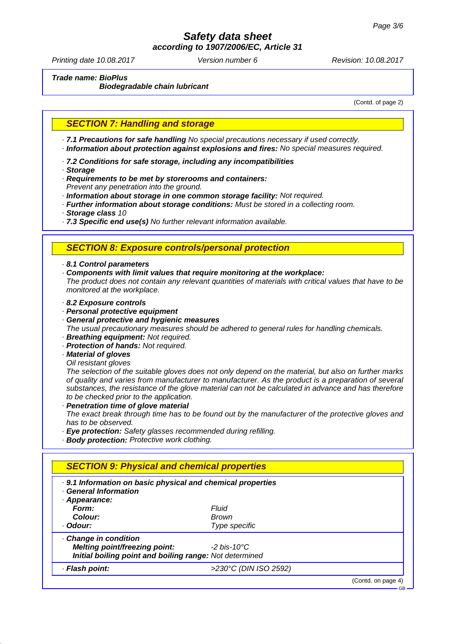*according to 1907/2006/EC, Article 31*

Printing date 10.08.2017 **Version number 6** Revision: 10.08.2017

*Trade name: BioPlus*

*Biodegradable chain lubricant*

(Contd. of page 2)

### *SECTION 7: Handling and storage*

*· 7.1 Precautions for safe handling No special precautions necessary if used correctly.*

- *· Information about protection against explosions and fires: No special measures required.*
- *· 7.2 Conditions for safe storage, including any incompatibilities*
- *· Storage*
- *· Requirements to be met by storerooms and containers:*
- *Prevent any penetration into the ground.*
- *· Information about storage in one common storage facility: Not required.*
- *· Further information about storage conditions: Must be stored in a collecting room.*
- *· Storage class 10*
- *· 7.3 Specific end use(s) No further relevant information available.*

#### *SECTION 8: Exposure controls/personal protection*

*· 8.1 Control parameters*

- *· Components with limit values that require monitoring at the workplace: The product does not contain any relevant quantities of materials with critical values that have to be monitored at the workplace.*
- *· 8.2 Exposure controls*
- *· Personal protective equipment*
- *· General protective and hygienic measures*
- *The usual precautionary measures should be adhered to general rules for handling chemicals. · Breathing equipment: Not required.*
- *· Protection of hands: Not required.*

#### *· Material of gloves*

*Oil resistant gloves*

*The selection of the suitable gloves does not only depend on the material, but also on further marks of quality and varies from manufacturer to manufacturer. As the product is a preparation of several substances, the resistance of the glove material can not be calculated in advance and has therefore to be checked prior to the application.*

*· Penetration time of glove material*

*The exact break through time has to be found out by the manufacturer of the protective gloves and has to be observed.*

- *· Eye protection: Safety glasses recommended during refilling.*
- *· Body protection: Protective work clothing.*

| . 9.1 Information on basic physical and chemical properties<br><b>General Information</b> |                       |  |
|-------------------------------------------------------------------------------------------|-----------------------|--|
| Appearance:                                                                               |                       |  |
| Form:                                                                                     | Fluid                 |  |
| Colour:                                                                                   | Brown                 |  |
| · Odour:                                                                                  | Type specific         |  |
| Change in condition                                                                       |                       |  |
| Melting point/freezing point:                                                             | -2 his-10°C           |  |
| Initial boiling point and boiling range: Not determined                                   |                       |  |
| · Flash point:                                                                            | >230°C (DIN ISO 2592) |  |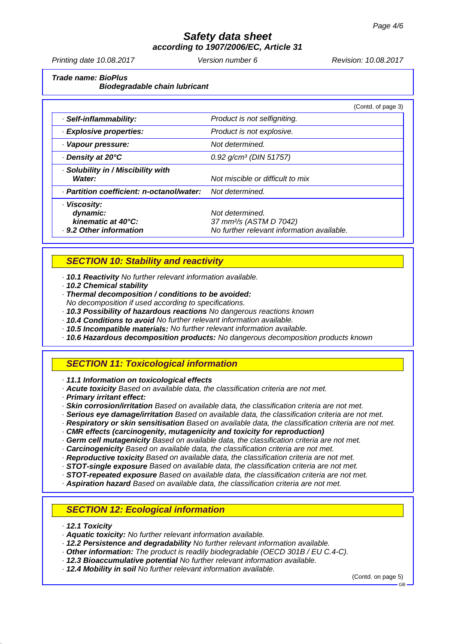*according to 1907/2006/EC, Article 31*

Printing date 10.08.2017 **Version number 6** Revision: 10.08.2017

*Trade name: BioPlus Biodegradable chain lubricant*

|                                                                           | (Contd. of page 3)                                                                                   |
|---------------------------------------------------------------------------|------------------------------------------------------------------------------------------------------|
| · Self-inflammability:                                                    | Product is not selfigniting.                                                                         |
| · Explosive properties:                                                   | Product is not explosive.                                                                            |
| · Vapour pressure:                                                        | Not determined.                                                                                      |
| ⋅ Density at 20°C                                                         | $0.92$ g/cm <sup>3</sup> (DIN 51757)                                                                 |
| · Solubility in / Miscibility with<br>Water:                              | Not miscible or difficult to mix                                                                     |
| · Partition coefficient: n-octanol/water:                                 | Not determined.                                                                                      |
| · Viscosity:<br>dynamic:<br>kinematic at 40°C:<br>. 9.2 Other information | Not determined.<br>37 mm <sup>2</sup> /s (ASTM D 7042)<br>No further relevant information available. |

## *SECTION 10: Stability and reactivity*

*· 10.1 Reactivity No further relevant information available.*

*· 10.2 Chemical stability*

*· Thermal decomposition / conditions to be avoided:*

- *No decomposition if used according to specifications.*
- *· 10.3 Possibility of hazardous reactions No dangerous reactions known*
- *· 10.4 Conditions to avoid No further relevant information available.*
- *· 10.5 Incompatible materials: No further relevant information available.*
- *· 10.6 Hazardous decomposition products: No dangerous decomposition products known*

## *SECTION 11: Toxicological information*

*· 11.1 Information on toxicological effects*

- *· Acute toxicity Based on available data, the classification criteria are not met.*
- *· Primary irritant effect:*
- *· Skin corrosion/irritation Based on available data, the classification criteria are not met.*
- *· Serious eye damage/irritation Based on available data, the classification criteria are not met.*
- *· Respiratory or skin sensitisation Based on available data, the classification criteria are not met.*
- *· CMR effects (carcinogenity, mutagenicity and toxicity for reproduction)*
- *· Germ cell mutagenicity Based on available data, the classification criteria are not met.*
- *· Carcinogenicity Based on available data, the classification criteria are not met.*
- *· Reproductive toxicity Based on available data, the classification criteria are not met.*
- *· STOT-single exposure Based on available data, the classification criteria are not met.*
- *· STOT-repeated exposure Based on available data, the classification criteria are not met.*
- *· Aspiration hazard Based on available data, the classification criteria are not met.*

## *SECTION 12: Ecological information*

- *· 12.1 Toxicity*
- *· Aquatic toxicity: No further relevant information available.*
- *· 12.2 Persistence and degradability No further relevant information available.*
- *· Other information: The product is readily biodegradable (OECD 301B / EU C.4-C).*
- *· 12.3 Bioaccumulative potential No further relevant information available.*
- *· 12.4 Mobility in soil No further relevant information available.*

(Contd. on page 5)

GB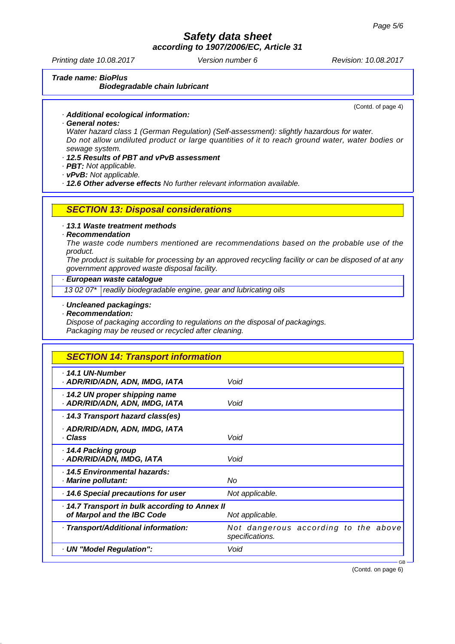*according to 1907/2006/EC, Article 31*

Printing date 10.08.2017 **Version number 6** Revision: 10.08.2017

*Trade name: BioPlus Biodegradable chain lubricant*

(Contd. of page 4)

- *· Additional ecological information:*
- *· General notes:*

*Water hazard class 1 (German Regulation) (Self-assessment): slightly hazardous for water. Do not allow undiluted product or large quantities of it to reach ground water, water bodies or sewage system.*

- *· 12.5 Results of PBT and vPvB assessment*
- *· PBT: Not applicable.*
- *· vPvB: Not applicable.*

*· 12.6 Other adverse effects No further relevant information available.*

- *SECTION 13: Disposal considerations*
- *· 13.1 Waste treatment methods*

#### *· Recommendation*

*The waste code numbers mentioned are recommendations based on the probable use of the product.*

*The product is suitable for processing by an approved recycling facility or can be disposed of at any government approved waste disposal facility.*

#### *· European waste catalogue*

*13 02 07\* readily biodegradable engine, gear and lubricating oils*

#### *· Uncleaned packagings:*

*· Recommendation:*

*Dispose of packaging according to regulations on the disposal of packagings. Packaging may be reused or recycled after cleaning.*

| <b>SECTION 14: Transport information</b>                                                      |                                                         |  |  |  |
|-----------------------------------------------------------------------------------------------|---------------------------------------------------------|--|--|--|
| $\cdot$ 14.1 UN-Number<br>· ADR/RID/ADN, ADN, IMDG, IATA                                      | Void                                                    |  |  |  |
| 14.2 UN proper shipping name<br>· ADR/RID/ADN, ADN, IMDG, IATA                                | Void                                                    |  |  |  |
| 14.3 Transport hazard class(es)                                                               |                                                         |  |  |  |
| · ADR/RID/ADN, ADN, IMDG, IATA<br>· Class                                                     | Void                                                    |  |  |  |
| ⋅ 14.4 Packing group<br>· ADR/RID/ADN, IMDG, IATA                                             | Void                                                    |  |  |  |
| · 14.5 Environmental hazards:<br>· Marine pollutant:                                          | No                                                      |  |  |  |
| 14.6 Special precautions for user                                                             | Not applicable.                                         |  |  |  |
| 14.7 Transport in bulk according to Annex II<br>of Marpol and the IBC Code<br>Not applicable. |                                                         |  |  |  |
| · Transport/Additional information:                                                           | Not dangerous according to the above<br>specifications. |  |  |  |
| · UN "Model Regulation":                                                                      | Void                                                    |  |  |  |
|                                                                                               | $GB -$                                                  |  |  |  |

(Contd. on page 6)